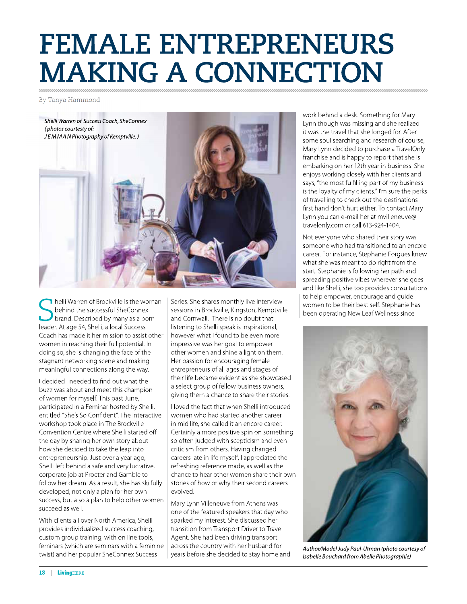## **FEMALE ENTREPRENEURS MAKING A CONNECTION**

By Tanya Hammond



helli Warren of Brockville is the woman behind the successful SheConnex brand. Described by many as a born leader. At age 54, Shelli, a local Success Coach has made it her mission to assist other women in reaching their full potential. In doing so, she is changing the face of the stagnant networking scene and making meaningful connections along the way.

I decided I needed to find out what the buzz was about and meet this champion of women for myself. This past June, I participated in a Feminar hosted by Shelli, entitled "She's So Confident". The interactive workshop took place in The Brockville Convention Centre where Shelli started off the day by sharing her own story about how she decided to take the leap into entrepreneurship. Just over a year ago, Shelli left behind a safe and very lucrative, corporate job at Procter and Gamble to follow her dream. As a result, she has skilfully developed, not only a plan for her own success, but also a plan to help other women succeed as well.

With clients all over North America, Shelli provides individualized success coaching, custom group training, with on line tools, feminars (which are seminars with a feminine twist) and her popular SheConnex Success

Series. She shares monthly live interview sessions in Brockville, Kingston, Kemptville and Cornwall. There is no doubt that listening to Shelli speak is inspirational, however what I found to be even more impressive was her goal to empower other women and shine a light on them. Her passion for encouraging female entrepreneurs of all ages and stages of their life became evident as she showcased a select group of fellow business owners, giving them a chance to share their stories.

I loved the fact that when Shelli introduced women who had started another career in mid life, she called it an encore career. Certainly a more positive spin on something so often judged with scepticism and even criticism from others. Having changed careers late in life myself, I appreciated the refreshing reference made, as well as the chance to hear other women share their own stories of how or why their second careers evolved.

Mary Lynn Villeneuve from Athens was one of the featured speakers that day who sparked my interest. She discussed her transition from Transport Driver to Travel Agent. She had been driving transport across the country with her husband for years before she decided to stay home and work behind a desk. Something for Mary Lynn though was missing and she realized it was the travel that she longed for. After some soul searching and research of course, Mary Lynn decided to purchase a TravelOnly franchise and is happy to report that she is embarking on her 12th year in business. She enjoys working closely with her clients and says, "the most fulfilling part of my business is the loyalty of my clients." I'm sure the perks of travelling to check out the destinations first hand don't hurt either. To contact Mary Lynn you can e-mail her at mvilleneuve@ travelonly.com or call 613-924-1404.

Not everyone who shared their story was someone who had transitioned to an encore career. For instance, Stephanie Forgues knew what she was meant to do right from the start. Stephanie is following her path and spreading positive vibes wherever she goes and like Shelli, she too provides consultations to help empower, encourage and quide women to be their best self. Stephanie has been operating New Leaf Wellness since



Author/Model Judy Paul-Utman (photo courtesy of Isabelle Bouchard from Abelle Photographie)